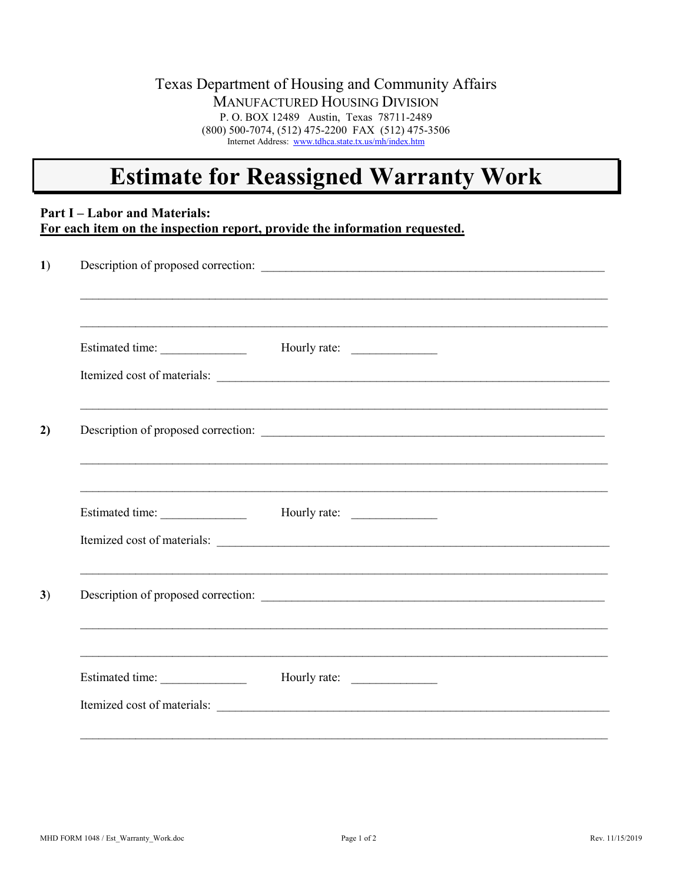### Texas Department of Housing and Community Affairs MANUFACTURED HOUSING DIVISION P. O. BOX 12489 Austin, Texas 78711-2489 (800) 500-7074, (512) 475-2200 FAX (512) 475-3506 Internet Address: [www.tdhca.state.tx.us/mh/index.htm](http://www.tdhca.state.tx.us/mh/index.htm)

# **Estimate for Reassigned Warranty Work**

## **Part I – Labor and Materials: For each item on the inspection report, provide the information requested.**

|                 | Description of proposed correction:                                                                             |  |
|-----------------|-----------------------------------------------------------------------------------------------------------------|--|
| Estimated time: |                                                                                                                 |  |
|                 | Itemized cost of materials:                                                                                     |  |
|                 |                                                                                                                 |  |
| Estimated time: |                                                                                                                 |  |
|                 | Itemized cost of materials:<br>,我们也不会有什么。""我们的人,我们也不会有什么?""我们的人,我们也不会有什么?""我们的人,我们也不会有什么?""我们的人,我们也不会有什么?""我们的人 |  |
|                 |                                                                                                                 |  |
|                 |                                                                                                                 |  |
|                 |                                                                                                                 |  |